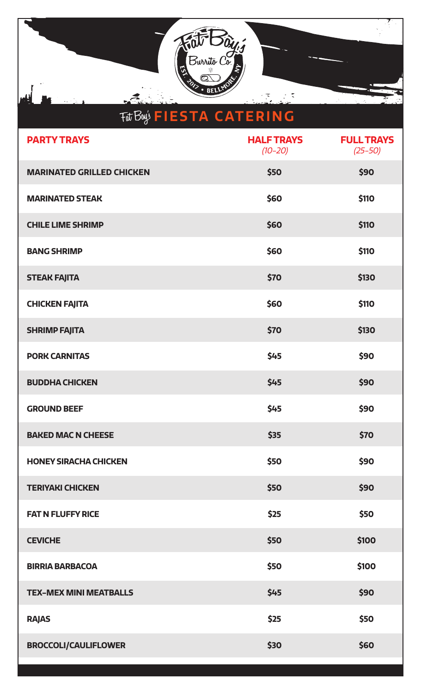

| <b>PARTY TRAYS</b>               | <b>HALF TRAYS</b><br>$(10 - 20)$ | <b>FULL TRAYS</b><br>$(25 - 50)$ |
|----------------------------------|----------------------------------|----------------------------------|
| <b>MARINATED GRILLED CHICKEN</b> | \$50                             | \$90                             |
| <b>MARINATED STEAK</b>           | \$60                             | \$110                            |
| <b>CHILE LIME SHRIMP</b>         | \$60                             | \$110                            |
| <b>BANG SHRIMP</b>               | \$60                             | \$110                            |
| <b>STEAK FAJITA</b>              | \$70                             | <b>\$130</b>                     |
| <b>CHICKEN FAJITA</b>            | \$60                             | \$110                            |
| <b>SHRIMP FAJITA</b>             | \$70                             | <b>\$130</b>                     |
| <b>PORK CARNITAS</b>             | \$45                             | \$90                             |
| <b>BUDDHA CHICKEN</b>            | \$45                             | \$90                             |
| <b>GROUND BEEF</b>               | \$45                             | \$90                             |
| <b>BAKED MAC N CHEESE</b>        | \$35                             | \$70                             |
| <b>HONEY SIRACHA CHICKEN</b>     | \$50                             | \$90                             |
| <b>TERIYAKI CHICKEN</b>          | \$50                             | \$90                             |
| <b>FAT N FLUFFY RICE</b>         | \$25                             | \$50                             |
| <b>CEVICHE</b>                   | \$50                             | \$100                            |
| <b>BIRRIA BARBACOA</b>           | \$50                             | \$100                            |
| <b>TEX-MEX MINI MEATBALLS</b>    | \$45                             | \$90                             |
| <b>RAJAS</b>                     | \$25                             | \$50                             |
| <b>BROCCOLI/CAULIFLOWER</b>      | \$30                             | \$60                             |